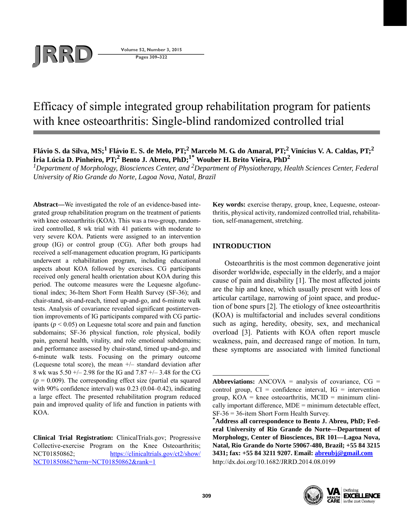

**Pages 309–322**

# Efficacy of simple integrated group rehabilitation program for patients with knee osteoarthritis: Single-blind randomized controlled trial

**Flávio S. da Silva, MS;1 Flávio E. S. de Melo, PT;2 Marcelo M. G. do Amaral, PT;2 Vinícius V. A. Caldas, PT;2** Íria Lúcia D. Pinheiro, PT;<sup>2</sup> Bento J. Abreu, PhD;<sup>1\*</sup> Wouber H. Brito Vieira, PhD<sup>2</sup>

<sup>1</sup> Department of Morphology, Biosciences Center, and <sup>2</sup> Department of Physiotherapy, Health Sciences Center, Federal *University of Rio Grande do Norte, Lagoa Nova, Natal, Brazil*

**Abstract—**We investigated the role of an evidence-based integrated group rehabilitation program on the treatment of patients with knee osteoarthritis (KOA). This was a two-group, randomized controlled, 8 wk trial with 41 patients with moderate to very severe KOA. Patients were assigned to an intervention group (IG) or control group (CG). After both groups had received a self-management education program, IG participants underwent a rehabilitation program, including educational aspects about KOA followed by exercises. CG participants received only general health orientation about KOA during this period. The outcome measures were the Lequesne algofunctional index; 36-Item Short Form Health Survey (SF-36); and chair-stand, sit-and-reach, timed up-and-go, and 6-minute walk tests. Analysis of covariance revealed significant postintervention improvements of IG participants compared with CG participants ( $p < 0.05$ ) on Lequesne total score and pain and function subdomains; SF-36 physical function, role physical, bodily pain, general health, vitality, and role emotional subdomains; and performance assessed by chair-stand, timed up-and-go, and 6-minute walk tests. Focusing on the primary outcome (Lequesne total score), the mean +/– standard deviation after 8 wk was 5.50 +/– 2.98 for the IG and 7.87 +/– 3.48 for the CG  $(p = 0.009)$ . The corresponding effect size (partial eta squared with 90% confidence interval) was 0.23 (0.04–0.42), indicating a large effect. The presented rehabilitation program reduced pain and improved quality of life and function in patients with KOA.

**Clinical Trial Registration:** ClinicalTrials.gov; Progressive Collective-exercise Program on the Knee Osteoarthritis; NCT01850862; [https://clinicaltrials.](
https://clinicaltrials.gov/ct2/show/NCT0850862?term=NCT01850862&rank=1)gov/ct2/show/ NCT01850862?term=NCT01850862&rank=1

**Key words:** exercise therapy, group, knee, Lequesne, osteoarthritis, physical activity, randomized controlled trial, rehabilitation, self-management, stretching.

# **INTRODUCTION**

Osteoarthritis is the most common degenerative joint disorder worldwide, especially in the elderly, and a major cause of pain and disability [1]. The most affected joints are the hip and knee, which usually present with loss of articular cartilage, narrowing of joint space, and production of bone spurs [2]. The etiology of knee osteoarthritis (KOA) is multifactorial and includes several conditions such as aging, heredity, obesity, sex, and mechanical overload [3]. Patients with KOA often report muscle weakness, pain, and decreased range of motion. In turn, these symptoms are associated with limited functional

**<sup>\*</sup>Address all correspondence to Bento J. Abreu, PhD; Federal University of Rio Grande do Norte—Department of Morphology, Center of Biosciences, BR 101—Lagoa Nova, Natal, Rio Grande do Norte 59067-480, Brazil; +55 84 3215 3431; fax: +55 84 3211 9207. Email: [abreubj@gmail.com](mailto:abreubj@gmail.com)** http://dx.doi.org/10.1682/JRRD.2014.08.0199





**Abbreviations:** ANCOVA = analysis of covariance,  $CG =$ control group,  $CI =$  confidence interval,  $IG =$  intervention group,  $KOA =$  knee osteoarthritis,  $MCID =$  minimum clinically important difference, MDE = minimum detectable effect, SF-36 = 36-item Short Form Health Survey.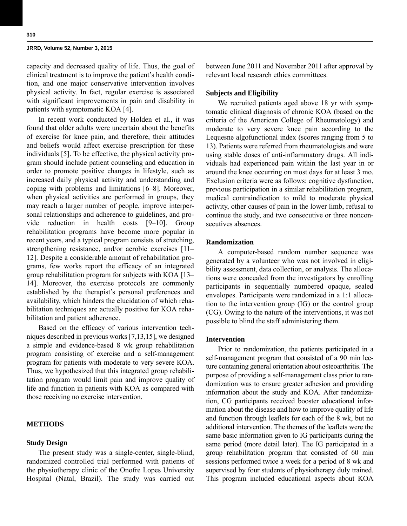capacity and decreased quality of life. Thus, the goal of clinical treatment is to improve the patient's health condition, and one major conservative intervention involves physical activity. In fact, regular exercise is associated with significant improvements in pain and disability in patients with symptomatic KOA [4].

In recent work conducted by Holden et al., it was found that older adults were uncertain about the benefits of exercise for knee pain, and therefore, their attitudes and beliefs would affect exercise prescription for these individuals [5]. To be effective, the physical activity program should include patient counseling and education in order to promote positive changes in lifestyle, such as increased daily physical activity and understanding and coping with problems and limitations [6–8]. Moreover, when physical activities are performed in groups, they may reach a larger number of people, improve interpersonal relationships and adherence to guidelines, and provide reduction in health costs [9–10]. Group rehabilitation programs have become more popular in recent years, and a typical program consists of stretching, strengthening resistance, and/or aerobic exercises [11– 12]. Despite a considerable amount of rehabilitation programs, few works report the efficacy of an integrated group rehabilitation program for subjects with KOA [13– 14]. Moreover, the exercise protocols are commonly established by the therapist's personal preferences and availability, which hinders the elucidation of which rehabilitation techniques are actually positive for KOA rehabilitation and patient adherence.

Based on the efficacy of various intervention techniques described in previous works [7,13,15], we designed a simple and evidence-based 8 wk group rehabilitation program consisting of exercise and a self-management program for patients with moderate to very severe KOA. Thus, we hypothesized that this integrated group rehabilitation program would limit pain and improve quality of life and function in patients with KOA as compared with those receiving no exercise intervention.

# **METHODS**

## **Study Design**

The present study was a single-center, single-blind, randomized controlled trial performed with patients of the physiotherapy clinic of the Onofre Lopes University Hospital (Natal, Brazil). The study was carried out

between June 2011 and November 2011 after approval by relevant local research ethics committees.

# **Subjects and Eligibility**

We recruited patients aged above 18 yr with symptomatic clinical diagnosis of chronic KOA (based on the criteria of the American College of Rheumatology) and moderate to very severe knee pain according to the Lequesne algofunctional index (scores ranging from 5 to 13). Patients were referred from rheumatologists and were using stable doses of anti-inflammatory drugs. All individuals had experienced pain within the last year in or around the knee occurring on most days for at least 3 mo. Exclusion criteria were as follows: cognitive dysfunction, previous participation in a similar rehabilitation program, medical contraindication to mild to moderate physical activity, other causes of pain in the lower limb, refusal to continue the study, and two consecutive or three nonconsecutives absences.

# **Randomization**

A computer-based random number sequence was generated by a volunteer who was not involved in eligibility assessment, data collection, or analysis. The allocations were concealed from the investigators by enrolling participants in sequentially numbered opaque, sealed envelopes. Participants were randomized in a 1:1 allocation to the intervention group (IG) or the control group (CG). Owing to the nature of the interventions, it was not possible to blind the staff administering them.

# **Intervention**

Prior to randomization, the patients participated in a self-management program that consisted of a 90 min lecture containing general orientation about osteoarthritis. The purpose of providing a self-management class prior to randomization was to ensure greater adhesion and providing information about the study and KOA. After randomization, CG participants received booster educational information about the disease and how to improve quality of life and function through leaflets for each of the 8 wk, but no additional intervention. The themes of the leaflets were the same basic information given to IG participants during the same period (more detail later). The IG participated in a group rehabilitation program that consisted of 60 min sessions performed twice a week for a period of 8 wk and supervised by four students of physiotherapy duly trained. This program included educational aspects about KOA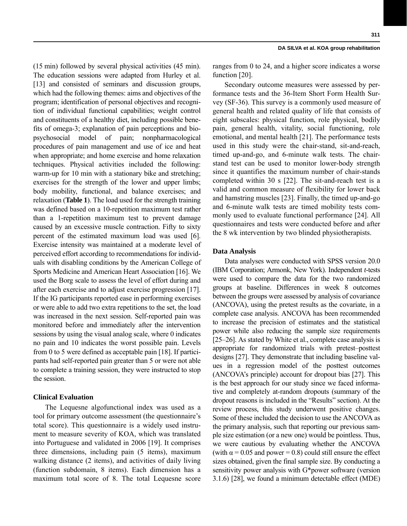(15 min) followed by several physical activities (45 min). The education sessions were adapted from Hurley et al. [13] and consisted of seminars and discussion groups, which had the following themes: aims and objectives of the program; identification of personal objectives and recognition of individual functional capabilities; weight control and constituents of a healthy diet, including possible benefits of omega-3; explanation of pain perceptions and biopsychosocial model of pain; nonpharmacological procedures of pain management and use of ice and heat when appropriate; and home exercise and home relaxation techniques. Physical activities included the following: warm-up for 10 min with a stationary bike and stretching; exercises for the strength of the lower and upper limbs; body mobility, functional, and balance exercises; and relaxation (**Table 1**). The load used for the strength training was defined based on a 10-repetition maximum test rather than a 1-repetition maximum test to prevent damage caused by an excessive muscle contraction. Fifty to sixty percent of the estimated maximum load was used [6]. Exercise intensity was maintained at a moderate level of perceived effort according to recommendations for individuals with disabling conditions by the American College of Sports Medicine and American Heart Association [16]. We used the Borg scale to assess the level of effort during and after each exercise and to adjust exercise progression [17]. If the IG participants reported ease in performing exercises or were able to add two extra repetitions to the set, the load was increased in the next session. Self-reported pain was monitored before and immediately after the intervention sessions by using the visual analog scale, where 0 indicates no pain and 10 indicates the worst possible pain. Levels from 0 to 5 were defined as acceptable pain [18]. If participants had self-reported pain greater than 5 or were not able to complete a training session, they were instructed to stop the session.

## **Clinical Evaluation**

The Lequesne algofunctional index was used as a tool for primary outcome assessment (the questionnaire's total score). This questionnaire is a widely used instrument to measure severity of KOA, which was translated into Portuguese and validated in 2006 [19]. It comprises three dimensions, including pain (5 items), maximum walking distance (2 items), and activities of daily living (function subdomain, 8 items). Each dimension has a maximum total score of 8. The total Lequesne score ranges from 0 to 24, and a higher score indicates a worse function [20].

Secondary outcome measures were assessed by performance tests and the 36-Item Short Form Health Survey (SF-36). This survey is a commonly used measure of general health and related quality of life that consists of eight subscales: physical function, role physical, bodily pain, general health, vitality, social functioning, role emotional, and mental health [21]. The performance tests used in this study were the chair-stand, sit-and-reach, timed up-and-go, and 6-minute walk tests. The chairstand test can be used to monitor lower-body strength since it quantifies the maximum number of chair-stands completed within 30 s [22]. The sit-and-reach test is a valid and common measure of flexibility for lower back and hamstring muscles [23]. Finally, the timed up-and-go and 6-minute walk tests are timed mobility tests commonly used to evaluate functional performance [24]. All questionnaires and tests were conducted before and after the 8 wk intervention by two blinded physiotherapists.

#### **Data Analysis**

Data analyses were conducted with SPSS version 20.0 (IBM Corporation; Armonk, New York). Independent *t*-tests were used to compare the data for the two randomized groups at baseline. Differences in week 8 outcomes between the groups were assessed by analysis of covariance (ANCOVA), using the pretest results as the covariate, in a complete case analysis. ANCOVA has been recommended to increase the precision of estimates and the statistical power while also reducing the sample size requirements [25–26]. As stated by White et al., complete case analysis is appropriate for randomized trials with pretest–posttest designs [27]. They demonstrate that including baseline values in a regression model of the posttest outcomes (ANCOVA's principle) account for dropout bias [27]. This is the best approach for our study since we faced informative and completely at-random dropouts (summary of the dropout reasons is included in the "Results" section). At the review process, this study underwent positive changes. Some of these included the decision to use the ANCOVA as the primary analysis, such that reporting our previous sample size estimation (or a new one) would be pointless. Thus, we were cautious by evaluating whether the ANCOVA (with  $\alpha$  = 0.05 and power = 0.8) could still ensure the effect sizes obtained, given the final sample size. By conducting a sensitivity power analysis with G\*power software (version 3.1.6) [28], we found a minimum detectable effect (MDE)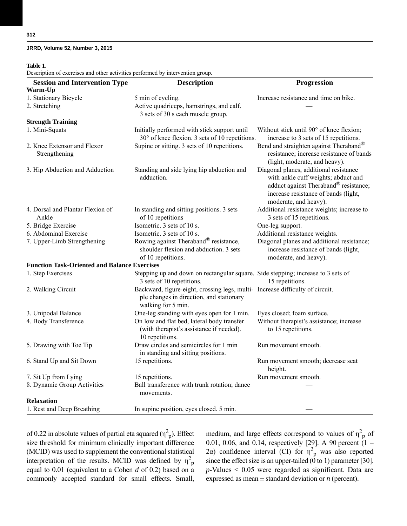## **Table 1.**

Description of exercises and other activities performed by intervention group.

| <b>Session and Intervention Type</b>                | <b>Description</b>                                                                                                                              | Progression                                                                                                                                                                             |
|-----------------------------------------------------|-------------------------------------------------------------------------------------------------------------------------------------------------|-----------------------------------------------------------------------------------------------------------------------------------------------------------------------------------------|
| Warm-Up                                             |                                                                                                                                                 |                                                                                                                                                                                         |
| 1. Stationary Bicycle                               | 5 min of cycling.                                                                                                                               | Increase resistance and time on bike.                                                                                                                                                   |
| 2. Stretching                                       | Active quadriceps, hamstrings, and calf.<br>3 sets of 30 s each muscle group.                                                                   |                                                                                                                                                                                         |
| <b>Strength Training</b>                            |                                                                                                                                                 |                                                                                                                                                                                         |
| 1. Mini-Squats                                      | Initially performed with stick support until<br>30° of knee flexion. 3 sets of 10 repetitions.                                                  | Without stick until 90° of knee flexion;<br>increase to 3 sets of 15 repetitions.                                                                                                       |
| 2. Knee Extensor and Flexor<br>Strengthening        | Supine or sitting. 3 sets of 10 repetitions.                                                                                                    | Bend and straighten against Theraband®<br>resistance; increase resistance of bands<br>(light, moderate, and heavy).                                                                     |
| 3. Hip Abduction and Adduction                      | Standing and side lying hip abduction and<br>adduction.                                                                                         | Diagonal planes, additional resistance<br>with ankle cuff weights; abduct and<br>adduct against Theraband® resistance;<br>increase resistance of bands (light,<br>moderate, and heavy). |
| 4. Dorsal and Plantar Flexion of<br>Ankle           | In standing and sitting positions. 3 sets<br>of 10 repetitions                                                                                  | Additional resistance weights; increase to<br>3 sets of 15 repetitions.                                                                                                                 |
| 5. Bridge Exercise                                  | Isometric. 3 sets of 10 s.                                                                                                                      | One-leg support.                                                                                                                                                                        |
| 6. Abdominal Exercise                               | Isometric. 3 sets of 10 s.                                                                                                                      | Additional resistance weights.                                                                                                                                                          |
| 7. Upper-Limb Strengthening                         | Rowing against Theraband® resistance,<br>shoulder flexion and abduction. 3 sets<br>of 10 repetitions.                                           | Diagonal planes and additional resistance;<br>increase resistance of bands (light,<br>moderate, and heavy).                                                                             |
| <b>Function Task-Oriented and Balance Exercises</b> |                                                                                                                                                 |                                                                                                                                                                                         |
| 1. Step Exercises                                   | Stepping up and down on rectangular square. Side stepping; increase to 3 sets of<br>3 sets of 10 repetitions.                                   | 15 repetitions.                                                                                                                                                                         |
| 2. Walking Circuit                                  | Backward, figure-eight, crossing legs, multi- Increase difficulty of circuit.<br>ple changes in direction, and stationary<br>walking for 5 min. |                                                                                                                                                                                         |
| 3. Unipodal Balance                                 | One-leg standing with eyes open for 1 min.                                                                                                      | Eyes closed; foam surface.                                                                                                                                                              |
| 4. Body Transference                                | On low and flat bed, lateral body transfer<br>(with therapist's assistance if needed).<br>10 repetitions.                                       | Without therapist's assistance; increase<br>to 15 repetitions.                                                                                                                          |
| 5. Drawing with Toe Tip                             | Draw circles and semicircles for 1 min<br>in standing and sitting positions.                                                                    | Run movement smooth.                                                                                                                                                                    |
| 6. Stand Up and Sit Down                            | 15 repetitions.                                                                                                                                 | Run movement smooth; decrease seat<br>height.                                                                                                                                           |
| 7. Sit Up from Lying                                | 15 repetitions.                                                                                                                                 | Run movement smooth.                                                                                                                                                                    |
| 8. Dynamic Group Activities                         | Ball transference with trunk rotation; dance<br>movements.                                                                                      |                                                                                                                                                                                         |
| <b>Relaxation</b>                                   |                                                                                                                                                 |                                                                                                                                                                                         |
| 1. Rest and Deep Breathing                          | In supine position, eyes closed. 5 min.                                                                                                         |                                                                                                                                                                                         |

of 0.22 in absolute values of partial eta squared  $(\eta^2$ <sub>p</sub>). Effect size threshold for minimum clinically important difference (MCID) was used to supplement the conventional statistical interpretation of the results. MCID was defined by  $\eta^2$ <sub>p</sub> equal to 0.01 (equivalent to a Cohen *d* of 0.2) based on a commonly accepted standard for small effects. Small,

medium, and large effects correspond to values of  $\eta_p^2$  of 0.01, 0.06, and 0.14, respectively [29]. A 90 percent (1 – 2 $\alpha$ ) confidence interval (CI) for  $\eta_p^2$  was also reported since the effect size is an upper-tailed  $(0 \text{ to } 1)$  parameter [30]. *p*-Values < 0.05 were regarded as significant. Data are expressed as mean  $\pm$  standard deviation or *n* (percent).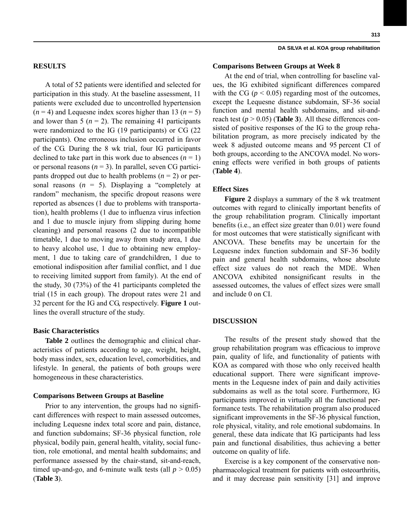# **RESULTS**

A total of 52 patients were identified and selected for participation in this study. At the baseline assessment, 11 patients were excluded due to uncontrolled hypertension  $(n = 4)$  and Lequesne index scores higher than 13  $(n = 5)$ and lower than 5 ( $n = 2$ ). The remaining 41 participants were randomized to the IG (19 participants) or CG (22 participants). One erroneous inclusion occurred in favor of the CG. During the 8 wk trial, four IG participants declined to take part in this work due to absences  $(n = 1)$ or personal reasons  $(n = 3)$ . In parallel, seven CG participants dropped out due to health problems (*n* = 2) or personal reasons  $(n = 5)$ . Displaying a "completely at random" mechanism, the specific dropout reasons were reported as absences (1 due to problems with transportation), health problems (1 due to influenza virus infection and 1 due to muscle injury from slipping during home cleaning) and personal reasons (2 due to incompatible timetable, 1 due to moving away from study area, 1 due to heavy alcohol use, 1 due to obtaining new employment, 1 due to taking care of grandchildren, 1 due to emotional indisposition after familial conflict, and 1 due to receiving limited support from family). At the end of the study, 30 (73%) of the 41 participants completed the trial (15 in each group). The dropout rates were 21 and 32 percent for the IG and CG, respectively. **Figure 1** outlines the overall structure of the study.

## **Basic Characteristics**

**Table 2** outlines the demographic and clinical characteristics of patients according to age, weight, height, body mass index, sex, education level, comorbidities, and lifestyle. In general, the patients of both groups were homogeneous in these characteristics.

## **Comparisons Between Groups at Baseline**

Prior to any intervention, the groups had no significant differences with respect to main assessed outcomes, including Lequesne index total score and pain, distance, and function subdomains; SF-36 physical function, role physical, bodily pain, general health, vitality, social function, role emotional, and mental health subdomains; and performance assessed by the chair-stand, sit-and-reach, timed up-and-go, and 6-minute walk tests (all  $p > 0.05$ ) (**Table 3**).

#### **DA SILVA et al. KOA group rehabilitation**

## **Comparisons Between Groups at Week 8**

At the end of trial, when controlling for baseline values, the IG exhibited significant differences compared with the CG ( $p < 0.05$ ) regarding most of the outcomes, except the Lequesne distance subdomain, SF-36 social function and mental health subdomains, and sit-andreach test ( $p > 0.05$ ) (**Table 3**). All these differences consisted of positive responses of the IG to the group rehabilitation program, as more precisely indicated by the week 8 adjusted outcome means and 95 percent CI of both groups, according to the ANCOVA model. No worsening effects were verified in both groups of patients (**Table 4**).

# **Effect Sizes**

**Figure 2** displays a summary of the 8 wk treatment outcomes with regard to clinically important benefits of the group rehabilitation program. Clinically important benefits (i.e., an effect size greater than 0.01) were found for most outcomes that were statistically significant with ANCOVA. These benefits may be uncertain for the Lequesne index function subdomain and SF-36 bodily pain and general health subdomains, whose absolute effect size values do not reach the MDE. When ANCOVA exhibited nonsignificant results in the assessed outcomes, the values of effect sizes were small and include 0 on CI.

## **DISCUSSION**

The results of the present study showed that the group rehabilitation program was efficacious to improve pain, quality of life, and functionality of patients with KOA as compared with those who only received health educational support. There were significant improvements in the Lequesne index of pain and daily activities subdomains as well as the total score. Furthermore, IG participants improved in virtually all the functional performance tests. The rehabilitation program also produced significant improvements in the SF-36 physical function, role physical, vitality, and role emotional subdomains. In general, these data indicate that IG participants had less pain and functional disabilities, thus achieving a better outcome on quality of life.

Exercise is a key component of the conservative nonpharmacological treatment for patients with osteoarthritis, and it may decrease pain sensitivity [31] and improve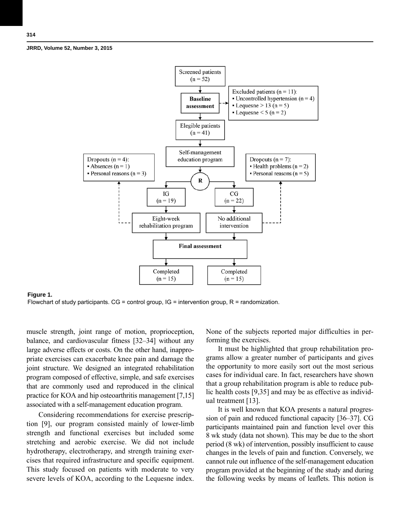

#### **Figure 1.**

Flowchart of study participants.  $CG =$  control group,  $IG =$  intervention group,  $R =$  randomization.

muscle strength, joint range of motion, proprioception, balance, and cardiovascular fitness [32–34] without any large adverse effects or costs. On the other hand, inappropriate exercises can exacerbate knee pain and damage the joint structure. We designed an integrated rehabilitation program composed of effective, simple, and safe exercises that are commonly used and reproduced in the clinical practice for KOA and hip osteoarthritis management [7,15] associated with a self-management education program.

Considering recommendations for exercise prescription [9], our program consisted mainly of lower-limb strength and functional exercises but included some stretching and aerobic exercise. We did not include hydrotherapy, electrotherapy, and strength training exercises that required infrastructure and specific equipment. This study focused on patients with moderate to very severe levels of KOA, according to the Lequesne index. None of the subjects reported major difficulties in performing the exercises.

It must be highlighted that group rehabilitation programs allow a greater number of participants and gives the opportunity to more easily sort out the most serious cases for individual care. In fact, researchers have shown that a group rehabilitation program is able to reduce public health costs [9,35] and may be as effective as individual treatment [13].

It is well known that KOA presents a natural progression of pain and reduced functional capacity [36–37]. CG participants maintained pain and function level over this 8 wk study (data not shown). This may be due to the short period (8 wk) of intervention, possibly insufficient to cause changes in the levels of pain and function. Conversely, we cannot rule out influence of the self-management education program provided at the beginning of the study and during the following weeks by means of leaflets. This notion is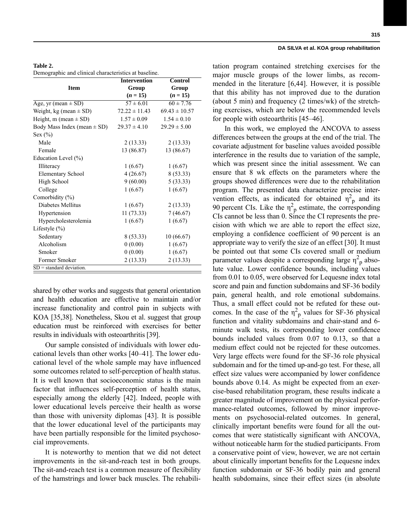#### **Table 2.**

Demographic and clinical characteristics at baseline.

|                                    | <b>Intervention</b> | Control           |
|------------------------------------|---------------------|-------------------|
| <b>Item</b>                        | Group               | Group             |
|                                    | $(n = 15)$          | $(n = 15)$        |
| Age, $\overline{yr (mean \pm SD)}$ | $57 \pm 6.01$       | $60 \pm 7.76$     |
| Weight, kg (mean $\pm$ SD)         | $72.22 \pm 11.43$   | $69.43 \pm 10.57$ |
| Height, m (mean $\pm$ SD)          | $1.57 \pm 0.09$     | $1.54 \pm 0.10$   |
| Body Mass Index (mean $\pm$ SD)    | $29.37 \pm 4.10$    | $29.29 \pm 5.00$  |
| Sex $(\% )$                        |                     |                   |
| Male                               | 2(13.33)            | 2(13.33)          |
| Female                             | 13 (86.87)          | 13 (86.67)        |
| Education Level (%)                |                     |                   |
| Illiteracy                         | 1(6.67)             | 1(6.67)           |
| <b>Elementary School</b>           | 4(26.67)            | 8 (53.33)         |
| <b>High School</b>                 | 9(60.00)            | 5(33.33)          |
| College                            | 1(6.67)             | 1(6.67)           |
| Comorbidity (%)                    |                     |                   |
| Diabetes Mellitus                  | 1(6.67)             | 2(13.33)          |
| Hypertension                       | 11 (73.33)          | 7(46.67)          |
| Hypercholesterolemia               | 1(6.67)             | 1(6.67)           |
| Lifestyle $(\% )$                  |                     |                   |
| Sedentary                          | 8 (53.33)           | 10(66.67)         |
| Alcoholism                         | 0(0.00)             | 1(6.67)           |
| Smoker                             | 0(0.00)             | 1(6.67)           |
| Former Smoker                      | 2(13.33)            | 2(13.33)          |
| $SD = standard deviation$ .        |                     |                   |

shared by other works and suggests that general orientation and health education are effective to maintain and/or increase functionality and control pain in subjects with KOA [35,38]. Nonetheless, Skou et al. suggest that group education must be reinforced with exercises for better results in individuals with osteoarthritis [39].

Our sample consisted of individuals with lower educational levels than other works [40–41]. The lower educational level of the whole sample may have influenced some outcomes related to self-perception of health status. It is well known that socioeconomic status is the main factor that influences self-perception of health status, especially among the elderly [42]. Indeed, people with lower educational levels perceive their health as worse than those with university diplomas [43]. It is possible that the lower educational level of the participants may have been partially responsible for the limited psychosocial improvements.

It is noteworthy to mention that we did not detect improvements in the sit-and-reach test in both groups. The sit-and-reach test is a common measure of flexibility of the hamstrings and lower back muscles. The rehabili-

#### **DA SILVA et al. KOA group rehabilitation**

tation program contained stretching exercises for the major muscle groups of the lower limbs, as recommended in the literature [6,44]. However, it is possible that this ability has not improved due to the duration (about 5 min) and frequency (2 times/wk) of the stretching exercises, which are below the recommended levels for people with osteoarthritis [45–46].

In this work, we employed the ANCOVA to assess differences between the groups at the end of the trial. The covariate adjustment for baseline values avoided possible interference in the results due to variation of the sample, which was present since the initial assessment. We can ensure that 8 wk effects on the parameters where the groups showed differences were due to the rehabilitation program. The presented data characterize precise intervention effects, as indicated for obtained  $\eta^2$ <sub>p</sub> and its 90 percent CIs. Like the  $\eta^2$ <sub>p</sub> estimate, the corresponding CIs cannot be less than 0. Since the CI represents the precision with which we are able to report the effect size, employing a confidence coefficient of 90 percent is an appropriate way to verify the size of an effect [30]. It must be pointed out that some CIs covered small or medium parameter values despite a corresponding large  $\eta^2$ <sub>p</sub> absolute value. Lower confidence bounds, including values from 0.01 to 0.05, were observed for Lequesne index total score and pain and function subdomains and SF-36 bodily pain, general health, and role emotional subdomains. Thus, a small effect could not be refuted for these outcomes. In the case of the  $\eta_{\text{p}}^2$  values for SF-36 physical function and vitality subdomains and chair-stand and 6 minute walk tests, its corresponding lower confidence bounds included values from 0.07 to 0.13, so that a medium effect could not be rejected for these outcomes. Very large effects were found for the SF-36 role physical subdomain and for the timed up-and-go test. For these, all effect size values were accompanied by lower confidence bounds above 0.14. As might be expected from an exercise-based rehabilitation program, these results indicate a greater magnitude of improvement on the physical performance-related outcomes, followed by minor improvements on psychosocial-related outcomes. In general, clinically important benefits were found for all the outcomes that were statistically significant with ANCOVA, without noticeable harm for the studied participants. From a conservative point of view, however, we are not certain about clinically important benefits for the Lequesne index function subdomain or SF-36 bodily pain and general health subdomains, since their effect sizes (in absolute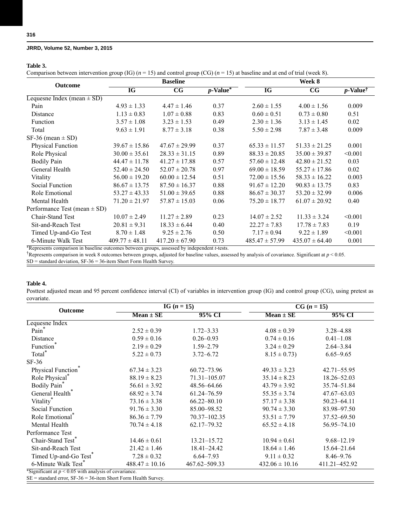# **Table 3.**

Comparison between intervention group (IG)  $(n = 15)$  and control group (CG)  $(n = 15)$  at baseline and at end of trial (week 8).

| <b>Outcome</b><br>Lequesne Index (mean $\pm$ SD)<br>Pain<br>Distance<br>Function<br>Total<br>$SF-36$ (mean $\pm$ SD)<br>Physical Function<br>Role Physical<br><b>Bodily Pain</b><br>General Health<br>Vitality<br>Social Function<br>Role Emotional<br>Mental Health<br>Performance Test (mean $\pm$ SD)<br>Chair-Stand Test<br>Sit-and-Reach Test<br>Timed Up-and-Go Test<br>6-Minute Walk Test | <b>Baseline</b>    |                    |             | Week 8             |                        |                         |
|--------------------------------------------------------------------------------------------------------------------------------------------------------------------------------------------------------------------------------------------------------------------------------------------------------------------------------------------------------------------------------------------------|--------------------|--------------------|-------------|--------------------|------------------------|-------------------------|
|                                                                                                                                                                                                                                                                                                                                                                                                  | IG                 | $_{\rm CG}$        | $p$ -Value* | IG                 | $\overline{\text{CG}}$ | $p$ -Value <sup>†</sup> |
|                                                                                                                                                                                                                                                                                                                                                                                                  |                    |                    |             |                    |                        |                         |
|                                                                                                                                                                                                                                                                                                                                                                                                  | $4.93 \pm 1.33$    | $4.47 \pm 1.46$    | 0.37        | $2.60 \pm 1.55$    | $4.00 \pm 1.56$        | 0.009                   |
|                                                                                                                                                                                                                                                                                                                                                                                                  | $1.13 \pm 0.83$    | $1.07 \pm 0.88$    | 0.83        | $0.60 \pm 0.51$    | $0.73 \pm 0.80$        | 0.51                    |
|                                                                                                                                                                                                                                                                                                                                                                                                  | $3.57 \pm 1.08$    | $3.23 \pm 1.53$    | 0.49        | $2.30 \pm 1.36$    | $3.13 \pm 1.45$        | 0.02                    |
|                                                                                                                                                                                                                                                                                                                                                                                                  | $9.63 \pm 1.91$    | $8.77 \pm 3.18$    | 0.38        | $5.50 \pm 2.98$    | $7.87 \pm 3.48$        | 0.009                   |
|                                                                                                                                                                                                                                                                                                                                                                                                  |                    |                    |             |                    |                        |                         |
|                                                                                                                                                                                                                                                                                                                                                                                                  | $39.67 \pm 15.86$  | $47.67 \pm 29.99$  | 0.37        | $65.33 \pm 11.57$  | $51.33 \pm 21.25$      | 0.001                   |
|                                                                                                                                                                                                                                                                                                                                                                                                  | $30.00 \pm 35.61$  | $28.33 \pm 31.15$  | 0.89        | $88.33 \pm 20.85$  | $35.00 \pm 39.87$      | < 0.001                 |
|                                                                                                                                                                                                                                                                                                                                                                                                  | $44.47 \pm 11.78$  | $41.27 \pm 17.88$  | 0.57        | $57.60 \pm 12.48$  | $42.80 \pm 21.52$      | 0.03                    |
|                                                                                                                                                                                                                                                                                                                                                                                                  | $52.40 \pm 24.50$  | $52.07 \pm 20.78$  | 0.97        | $69.00 \pm 18.59$  | $55.27 \pm 17.86$      | 0.02                    |
|                                                                                                                                                                                                                                                                                                                                                                                                  | $56.00 \pm 19.20$  | $60.00 \pm 12.54$  | 0.51        | $72.00 \pm 15.56$  | $58.33 \pm 16.22$      | 0.003                   |
|                                                                                                                                                                                                                                                                                                                                                                                                  | $86.67 \pm 13.75$  | $87.50 \pm 16.37$  | 0.88        | $91.67 \pm 12.20$  | $90.83 \pm 13.75$      | 0.83                    |
|                                                                                                                                                                                                                                                                                                                                                                                                  | $53.27 \pm 43.33$  | $51.00 \pm 39.65$  | 0.88        | $86.67 \pm 30.37$  | $53.20 \pm 32.99$      | 0.006                   |
|                                                                                                                                                                                                                                                                                                                                                                                                  | $71.20 \pm 21.97$  | $57.87 \pm 15.03$  | 0.06        | $75.20 \pm 18.77$  | $61.07 \pm 20.92$      | 0.40                    |
|                                                                                                                                                                                                                                                                                                                                                                                                  |                    |                    |             |                    |                        |                         |
|                                                                                                                                                                                                                                                                                                                                                                                                  | $10.07 \pm 2.49$   | $11.27 \pm 2.89$   | 0.23        | $14.07 \pm 2.52$   | $11.33 \pm 3.24$       | < 0.001                 |
|                                                                                                                                                                                                                                                                                                                                                                                                  | $20.81 \pm 9.31$   | $18.33 \pm 6.44$   | 0.40        | $22.27 \pm 7.83$   | $17.78 \pm 7.83$       | 0.19                    |
|                                                                                                                                                                                                                                                                                                                                                                                                  | $8.70 \pm 1.48$    | $9.25 \pm 2.76$    | 0.50        | $7.17 \pm 0.94$    | $9.22 \pm 1.89$        | < 0.001                 |
|                                                                                                                                                                                                                                                                                                                                                                                                  | $409.77 \pm 48.11$ | $417.20 \pm 67.90$ | 0.73        | $485.47 \pm 57.99$ | $435.07 \pm 64.40$     | 0.001                   |

\*Represents comparison in baseline outcomes between groups, assessed by independent *t*-tests.

<sup>†</sup>Represents comparison in week 8 outcomes between groups, adjusted for baseline values, assessed by analysis of covariance. Significant at  $p < 0.05$ .

SD = standard deviation, SF-36 = 36-item Short Form Health Survey.

## **Table 4.**

Posttest adjusted mean and 95 percent confidence interval (CI) of variables in intervention group (IG) and control group (CG), using pretest as covariate.

|                                                                      |                    | IG $(n = 15)$   | $CG (n = 15)$      |                |  |
|----------------------------------------------------------------------|--------------------|-----------------|--------------------|----------------|--|
| <b>Outcome</b>                                                       | $Mean \pm SE$      | 95% CI          | $Mean \pm SE$      | 95% CI         |  |
| Lequesne Index                                                       |                    |                 |                    |                |  |
| Pain*                                                                | $2.52 \pm 0.39$    | $1.72 - 3.33$   | $4.08 \pm 0.39$    | $3.28 - 4.88$  |  |
| Distance                                                             | $0.59 \pm 0.16$    | $0.26 - 0.93$   | $0.74 \pm 0.16$    | $0.41 - 1.08$  |  |
| Function                                                             | $2.19 \pm 0.29$    | $1.59 - 2.79$   | $3.24 \pm 0.29$    | $2.64 - 3.84$  |  |
| Total*                                                               | $5.22 \pm 0.73$    | $3.72 - 6.72$   | $8.15 \pm 0.73$    | $6.65 - 9.65$  |  |
| $SF-36$                                                              |                    |                 |                    |                |  |
| Physical Function <sup>®</sup>                                       | $67.34 \pm 3.23$   | 60.72–73.96     | $49.33 \pm 3.23$   | 42.71-55.95    |  |
| Role Physical*                                                       | $88.19 \pm 8.23$   | 71.31-105.07    | $35.14 \pm 8.23$   | 18.26 - 52.03  |  |
| Bodily Pain*                                                         | $56.61 \pm 3.92$   | 48.56-64.66     | $43.79 \pm 3.92$   | 35.74-51.84    |  |
| General Health*                                                      | $68.92 \pm 3.74$   | 61.24-76.59     | $55.35 \pm 3.74$   | 47.67-63.03    |  |
| Vitality <sup>*</sup>                                                | $73.16 \pm 3.38$   | $66.22 - 80.10$ | $57.17 \pm 3.38$   | 50.23-64.11    |  |
| Social Function                                                      | $91.76 \pm 3.30$   | 85.00-98.52     | $90.74 \pm 3.30$   | 83.98-97.50    |  |
| Role Emotional*                                                      | $86.36 \pm 7.79$   | 70.37-102.35    | $53.51 \pm 7.79$   | 37.52-69.50    |  |
| Mental Health                                                        | $70.74 \pm 4.18$   | 62.17-79.32     | $65.52 \pm 4.18$   | 56.95-74.10    |  |
| Performance Test                                                     |                    |                 |                    |                |  |
| Chair-Stand Test <sup>®</sup>                                        | $14.46 \pm 0.61$   | $13.21 - 15.72$ | $10.94 \pm 0.61$   | $9.68 - 12.19$ |  |
| Sit-and-Reach Test                                                   | $21.42 \pm 1.46$   | 18.41-24.42     | $18.64 \pm 1.46$   | 15.64-21.64    |  |
| Timed Up-and-Go Test*                                                | $7.28 \pm 0.32$    | $6.64 - 7.93$   | $9.11 \pm 0.32$    | $8.46 - 9.76$  |  |
| 6-Minute Walk Test*                                                  | $488.47 \pm 10.16$ | 467.62-509.33   | $432.06 \pm 10.16$ | 411.21-452.92  |  |
| *Significant at $p < 0.05$ with analysis of covariance.              |                    |                 |                    |                |  |
| $SE = standard error$ , $SF-36 = 36$ -item Short Form Health Survey. |                    |                 |                    |                |  |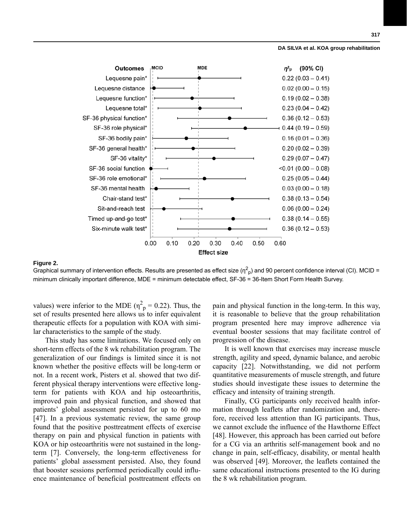**DA SILVA et al. KOA group rehabilitation**



#### **Figure 2.**

Graphical summary of intervention effects. Results are presented as effect size ( $\eta^2$ <sub>p</sub>) and 90 percent confidence interval (CI). MCID = minimum clinically important difference, MDE = minimum detectable effect, SF-36 = 36-Item Short Form Health Survey.

values) were inferior to the MDE ( $\eta_p^2 = 0.22$ ). Thus, the set of results presented here allows us to infer equivalent therapeutic effects for a population with KOA with similar characteristics to the sample of the study.

This study has some limitations. We focused only on short-term effects of the 8 wk rehabilitation program. The generalization of our findings is limited since it is not known whether the positive effects will be long-term or not. In a recent work, Pisters et al. showed that two different physical therapy interventions were effective longterm for patients with KOA and hip osteoarthritis, improved pain and physical function, and showed that patients' global assessment persisted for up to 60 mo [47]. In a previous systematic review, the same group found that the positive posttreatment effects of exercise therapy on pain and physical function in patients with KOA or hip osteoarthritis were not sustained in the longterm [7]. Conversely, the long-term effectiveness for patients' global assessment persisted. Also, they found that booster sessions performed periodically could influence maintenance of beneficial posttreatment effects on

pain and physical function in the long-term. In this way, it is reasonable to believe that the group rehabilitation program presented here may improve adherence via eventual booster sessions that may facilitate control of progression of the disease.

It is well known that exercises may increase muscle strength, agility and speed, dynamic balance, and aerobic capacity [22]. Notwithstanding, we did not perform quantitative measurements of muscle strength, and future studies should investigate these issues to determine the efficacy and intensity of training strength.

Finally, CG participants only received health information through leaflets after randomization and, therefore, received less attention than IG participants. Thus, we cannot exclude the influence of the Hawthorne Effect [48]. However, this approach has been carried out before for a CG via an arthritis self-management book and no change in pain, self-efficacy, disability, or mental health was observed [49]. Moreover, the leaflets contained the same educational instructions presented to the IG during the 8 wk rehabilitation program.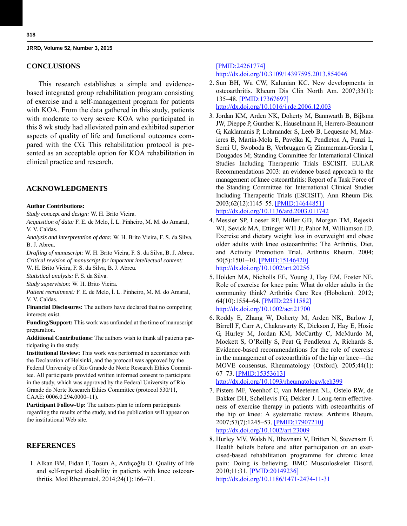## **CONCLUSIONS**

This research establishes a simple and evidencebased integrated group rehabilitation program consisting of exercise and a self-management program for patients with KOA. From the data gathered in this study, patients with moderate to very severe KOA who participated in this 8 wk study had alleviated pain and exhibited superior aspects of quality of life and functional outcomes compared with the CG. This rehabilitation protocol is presented as an acceptable option for KOA rehabilitation in clinical practice and research.

## **ACKNOWLEDGMENTS**

#### **Author Contributions:**

*Study concept and design:* W. H. Brito Vieira.

*Acquisition of data:* F. E. de Melo, Í. L. Pinheiro, M. M. do Amaral, V. V. Caldas.

*Analysis and interpretation of data:* W. H. Brito Vieira, F. S. da Silva, B. J. Abreu.

*Drafting of manuscript:* W. H. Brito Vieira, F. S. da Silva, B. J. Abreu. *Critical revision of manuscript for important intellectual content:*

W. H. Brito Vieira, F. S. da Silva, B. J. Abreu.

*Statistical analysis:* F. S. da Silva.

*Study supervision:* W. H. Brito Vieira.

*Patient recruitment:* F. E. de Melo, Í. L. Pinheiro, M. M. do Amaral, V. V. Caldas.

**Financial Disclosures:** The authors have declared that no competing interests exist.

**Funding/Support:** This work was unfunded at the time of manuscript preparation.

**Additional Contributions:** The authors wish to thank all patients participating in the study.

**Institutional Review:** This work was performed in accordance with the Declaration of Helsinki, and the protocol was approved by the Federal University of Rio Grande do Norte Research Ethics Committee. All participants provided written informed consent to participate in the study, which was approved by the Federal University of Rio Grande do Norte Research Ethics Committee (protocol 530/11, CAAE: 0006.0.294.0000–11).

**Participant Follow-Up:** The authors plan to inform participants regarding the results of the study, and the publication will appear on the institutional Web site.

# **REFERENCES**

 1. Alkan BM, Fidan F, Tosun A, Ardıçoğlu O. Quality of life and self-reported disability in patients with knee osteoarthritis. Mod Rheumatol. 2014;24(1):166–71.

# [\[PMID:24261774\]](http://www.ncbi.nlm.nih.gov/entrez/query.fcgi?cmd=Retrieve&db=PubMed&list_uids=24261774&dopt=Abstract)

[h](http://www.ncbi.nlm.nih.gov/entrez/query.fcgi?cmd=Retrieve&db=PubMed&list_uids=24261774&dopt=Abstract)[ttp://dx.doi.org/10.3109/14397595.2013.854046](http://dx.doi.org/10.3109/14397595.2013.854046)

- 2. [Sun BH, Wu CW, Kalunia](http://www.ncbi.nlm.nih.gov/entrez/query.fcgi?cmd=Retrieve&db=PubMed&list_uids=17134516&dopt=Abstract)[n KC. New developments in](http://dx.doi.org/10.1186/1471-2474-7-90) [osteoarthritis. Rheum Dis Clin North Am. 2007;33\(1\):](http://dx.doi.org/10.1186/1471-2474-7-90) [135–48.](http://dx.doi.org/10.1186/1471-2474-7-90) [\[PMID:17367697\]](http://www.ncbi.nlm.nih.gov/entrez/query.fcgi?cmd=Retrieve&db=PubMed&list_uids=17367697&dopt=Abstract) [h](http://www.ncbi.nlm.nih.gov/entrez/query.fcgi?cmd=Retrieve&db=PubMed&list_uids=17367697&dopt=Abstract)[ttp://dx.doi.org/10.1016/j.rdc.2006.12.003](http://dx.doi.org/10.1016/j.rdc.2006.12.003)
- 3. Jordan KM, Arden NK, Doherty M, Bannwarth B, Bijlsma JW, Dieppe P, Gunther K, Hauselmann H, Herrero-Beaumont G, Kaklamanis P, Lohmander S, Leeb B, Lequesne M, Mazieres B, Martin-Mola E, Pavelka K, Pendleton A, Punzi L, Serni U, Swoboda B, Verbruggen G, Zimmerman-Gorska I, Dougados M; Standing Committee for International Clinical Studies Including Therapeutic Trials ESCISIT. EULAR Recommendations 2003: an evidence based approach to the management of knee osteoarthritis: Report of a Task Force of the Standing Committee for International Clinical Studies Including Therapeutic Trials (ESCISIT). Ann Rheum Dis. 2003;62(12):1145–55. [\[PMID:14644851\]](http://www.ncbi.nlm.nih.gov/entrez/query.fcgi?cmd=Retrieve&db=PubMed&list_uids=14644851&dopt=Abstract) [h](http://www.ncbi.nlm.nih.gov/entrez/query.fcgi?cmd=Retrieve&db=PubMed&list_uids=14644851&dopt=Abstract)[ttp://dx.doi.org/10.1136/ard.2003.011742](http://dx.doi.org/10.1136/ard.2003.011742)
- 4. Messier SP, Loeser RF, Miller GD, Morgan TM, Rejeski WJ, Sevick MA, Ettinger WH Jr, Pahor M, Williamson JD. Exercise and dietary weight loss in overweight and obese older adults with knee osteoarthritis: The Arthritis, Diet, and Activity Promotion Trial. Arthritis Rheum. 2004; 50(5):1501–10. [\[PMID:15146420\]](http://www.ncbi.nlm.nih.gov/entrez/query.fcgi?cmd=Retrieve&db=PubMed&list_uids=15146420&dopt=Abstract) [h](http://www.ncbi.nlm.nih.gov/entrez/query.fcgi?cmd=Retrieve&db=PubMed&list_uids=15146420&dopt=Abstract)[ttp://dx.doi.org/10.1002/art.20256](http://dx.doi.org/10.1002/art.20256)

 5. Holden MA, Nicholls EE, Young J, Hay EM, Foster NE. Role of exercise for knee pain: What do older adults in the community think? Arthritis Care Res (Hoboken). 2012; 64(10):1554–64. [\[PMID:22511582\]](http://www.ncbi.nlm.nih.gov/entrez/query.fcgi?cmd=Retrieve&db=PubMed&list_uids=22511582&dopt=Abstract) [h](http://www.ncbi.nlm.nih.gov/entrez/query.fcgi?cmd=Retrieve&db=PubMed&list_uids=22511582&dopt=Abstract)[ttp://dx.doi.org/10.1002/acr.21700](http://dx.doi.org/10.1002/acr.21700)

 6. Roddy E, Zhang W, Doherty M, Arden NK, Barlow J, Birrell F, Carr A, Chakravarty K, Dickson J, Hay E, Hosie G, Hurley M, Jordan KM, McCarthy C, McMurdo M, Mockett S, O'Reilly S, Peat G, Pendleton A, Richards S. Evidence-based recommendations for the role of exercise in the management of osteoarthritis of the hip or knee—the MOVE consensus. Rheumatology (Oxford). 2005;44(1): 67–73. [\[PMID:15353613\]](http://www.ncbi.nlm.nih.gov/entrez/query.fcgi?cmd=Retrieve&db=PubMed&list_uids=15353613&dopt=Abstract)

[h](http://www.ncbi.nlm.nih.gov/entrez/query.fcgi?cmd=Retrieve&db=PubMed&list_uids=15353613&dopt=Abstract)[ttp://dx.doi.org/10.1093/rheumatology/keh399](http://dx.doi.org/10.1093/rheumatology/keh399)

- 7. Pisters MF, Veenhof C, van Meeteren NL, Ostelo RW, de Bakker DH, Schellevis FG, Dekker J. Long-term effectiveness of exercise therapy in patients with osteoarthritis of the hip or knee: A systematic review. Arthritis Rheum. 2007;57(7):1245–53. [\[PMID:17907210\]](http://www.ncbi.nlm.nih.gov/entrez/query.fcgi?cmd=Retrieve&db=PubMed&list_uids=17907210&dopt=Abstract) [h](http://www.ncbi.nlm.nih.gov/entrez/query.fcgi?cmd=Retrieve&db=PubMed&list_uids=17907210&dopt=Abstract)[ttp://dx.doi.org/10.1002/art.23009](http://dx.doi.org/10.1002/art.23009)
- 8. Hurley MV, Walsh N, Bhavnani V, Britten N, Stevenson F. Health beliefs before and after participation on an exercised-based rehabilitation programme for chronic knee pain: Doing is believing. BMC Musculoskelet Disord. 2010;11:31. [\[PMID:20149236\]](http://www.ncbi.nlm.nih.gov/entrez/query.fcgi?cmd=Retrieve&db=PubMed&list_uids=20149236&dopt=Abstract) [h](http://www.ncbi.nlm.nih.gov/entrez/query.fcgi?cmd=Retrieve&db=PubMed&list_uids=20149236&dopt=Abstract)[ttp://dx.doi.org/10.1186/1471-2474-11-31](http://dx.doi.org/10.1186/1471-2474-11-31)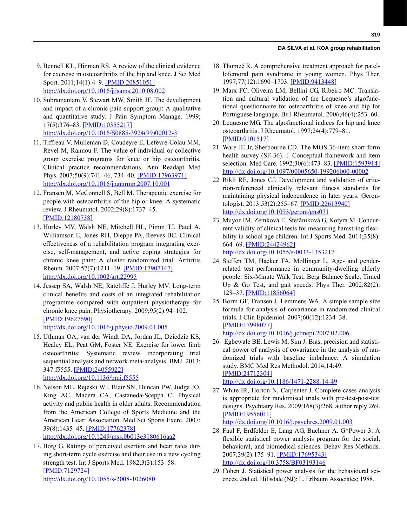## **DA SILVA et al. KOA group rehabilitation**

- 9. Bennell KL, Hinman RS. A review of the clinical evidence for exercise in osteoarthritis of the hip and knee. J Sci Med Sport. 2011;14(1):4–9. [\[PMID:20851051\]](http://www.ncbi.nlm.nih.gov/entrez/query.fcgi?cmd=Retrieve&db=PubMed&list_uids=20851051&dopt=Abstract) [h](http://www.ncbi.nlm.nih.gov/entrez/query.fcgi?cmd=Retrieve&db=PubMed&list_uids=20851051&dopt=Abstract)[ttp://dx.doi.org/10.1016/j.jsams.2010.08.002](http://dx.doi.org/10.1016/j.jsams.2010.08.002)
- 10. Subramaniam V, Stewart MW, Smith JF. The development and impact of a chronic pain support group: A qualitative and quantitative study. J Pain Symptom Manage. 1999; 17(5):376–83. [\[PMID:10355217\]](http://www.ncbi.nlm.nih.gov/entrez/query.fcgi?cmd=Retrieve&db=PubMed&list_uids=10355217&dopt=Abstract) [h](http://www.ncbi.nlm.nih.gov/entrez/query.fcgi?cmd=Retrieve&db=PubMed&list_uids=10355217&dopt=Abstract)[ttp://dx.doi.org/10.1016/S0885-3924\(99\)00012-3](http://dx.doi.org/10.1016/S0885-3924(99)00012-3)
- 11. Tiffreau V, Mulleman D, Coudeyre E, Lefevre-Colau MM, Revel M, Rannou F. The value of individual or collective group exercise programs for knee or hip osteoarthritis. Clinical practice recommendations. Ann Readapt Med Phys. 2007;50(9):741–46, 734–40. [\[PMID:17963971\]](http://www.ncbi.nlm.nih.gov/entrez/query.fcgi?cmd=Retrieve&db=PubMed&list_uids=17963971&dopt=Abstract) [h](http://www.ncbi.nlm.nih.gov/entrez/query.fcgi?cmd=Retrieve&db=PubMed&list_uids=17963971&dopt=Abstract)[ttp://dx.doi.org/10.1016/j.annrmp.2007.10.001](http://dx.doi.org/10.1016/j.annrmp.2007.10.001)
- 12. Fransen M, McConnell S, Bell M. Therapeutic exercise for people with osteoarthritis of the hip or knee. A systematic review. J Rheumatol. 2002;29(8):1737–45. [\[PMID:12180738\]](http://www.ncbi.nlm.nih.gov/entrez/query.fcgi?cmd=Retrieve&db=PubMed&list_uids=12180738&dopt=Abstract)
- 13. Hurley MV, Walsh NE, Mitchell HL, Pimm TJ, Patel A, Williamson E, Jones RH, Dieppe PA, Reeves BC. Clinical effectiveness of a rehabilitation program integrating exercise, self-management, and active coping strategies for chronic knee pain: A cluster randomized trial. Arthritis Rheum. 2007;57(7):1211–19. [\[PMID:17907147\]](http://www.ncbi.nlm.nih.gov/entrez/query.fcgi?cmd=Retrieve&db=PubMed&list_uids=17907147&dopt=Abstract) [h](http://www.ncbi.nlm.nih.gov/entrez/query.fcgi?cmd=Retrieve&db=PubMed&list_uids=17907147&dopt=Abstract)[ttp://dx.doi.org/10.1002/art.22995](http://dx.doi.org/10.1002/art.22995)
- 14. Jessep SA, Walsh NE, Ratcliffe J, Hurley MV. Long-term clinical benefits and costs of an integrated rehabilitation programme compared with outpatient physiotherapy for chronic knee pain. Physiotherapy. 2009;95(2):94–102. [\[PMID:19627690\]](http://www.ncbi.nlm.nih.gov/entrez/query.fcgi?cmd=Retrieve&db=PubMed&list_uids=19627690&dopt=Abstract)

[h](http://www.ncbi.nlm.nih.gov/entrez/query.fcgi?cmd=Retrieve&db=PubMed&list_uids=19627690&dopt=Abstract)[ttp://dx.doi.org/10.1016/j.physio.2009.01.005](http://dx.doi.org/10.1016/j.physio.2009.01.005)

15. Uthman OA, van der Windt DA, Jordan JL, Dziedzic KS, Healey EL, Peat GM, Foster NE. Exercise for lower limb osteoarthritis: Systematic review incorporating trial sequential analysis and network meta-analysis. BMJ. 2013; 347:f5555. [\[PMID:24055922\]](http://www.ncbi.nlm.nih.gov/entrez/query.fcgi?cmd=Retrieve&db=PubMed&list_uids=24055922&dopt=Abstract)

[h](http://www.ncbi.nlm.nih.gov/entrez/query.fcgi?cmd=Retrieve&db=PubMed&list_uids=24055922&dopt=Abstract)[ttp://dx.doi.org/10.1136/bmj.f5555](http://dx.doi.org/10.1136/bmj.f5555)

- 16. Nelson ME, Rejeski WJ, Blair SN, Duncan PW, Judge JO, King AC, Macera CA, Castaneda-Sceppa C. Physical activity and public health in older adults: Recommendation from the American College of Sports Medicine and the American Heart Association. Med Sci Sports Exerc. 2007; 39(8):1435–45. [\[PMID:17762378\]](http://www.ncbi.nlm.nih.gov/entrez/query.fcgi?cmd=Retrieve&db=PubMed&list_uids=17762378&dopt=Abstract) [h](http://www.ncbi.nlm.nih.gov/entrez/query.fcgi?cmd=Retrieve&db=PubMed&list_uids=17762378&dopt=Abstract)[ttp://dx.doi.org/10.1249/mss.0b013e3180616aa2](http://dx.doi.org/10.1249/mss.0b013e3180616aa2)
- 17. Borg G. Ratings of perceived exertion and heart rates during short-term cycle exercise and their use in a new cycling strength test. Int J Sports Med. 1982;3(3):153–58. [\[PMID:7129724\]](http://www.ncbi.nlm.nih.gov/entrez/query.fcgi?cmd=Retrieve&db=PubMed&list_uids=7129724&dopt=Abstract)

[h](http://www.ncbi.nlm.nih.gov/entrez/query.fcgi?cmd=Retrieve&db=PubMed&list_uids=7129724&dopt=Abstract)[ttp://dx.doi.org/10.1055/s-2008-1026080](http://dx.doi.org/10.1055/s-2008-1026080)

- 18. Thomeé R. A comprehensive treatment approach for patellofemoral pain syndrome in young women. Phys Ther. 1997;77(12):1690–1703. [\[PMID:9413448\]](http://www.ncbi.nlm.nih.gov/entrez/query.fcgi?cmd=Retrieve&db=PubMed&list_uids=9413448&dopt=Abstract)
- 19. Marx FC, Oliveira LM, Bellini CG, Ribeiro MC. Translation and cultural validation of the Lequesne's algofunctional questionnaire for osteoarthritis of knee and hip for Portuguese language. Br J Rheumatol. 2006;46(4):253–60.
- 20. Lequesne MG. The algofunctional indices for hip and knee osteoarthritis. J Rheumatol. 1997;24(4):779–81. [\[PMID:9101517\]](http://www.ncbi.nlm.nih.gov/entrez/query.fcgi?cmd=Retrieve&db=PubMed&list_uids=9101517&dopt=Abstract)
- 21. Ware JE Jr, Sherbourne CD. The MOS 36-item short-form health survey (SF-36). I. Conceptual framework and item selection. Med Care. 1992;30(6):473–83. [\[PMID:1593914\]](http://www.ncbi.nlm.nih.gov/entrez/query.fcgi?cmd=Retrieve&db=PubMed&list_uids=1593914&dopt=Abstract) [h](http://www.ncbi.nlm.nih.gov/entrez/query.fcgi?cmd=Retrieve&db=PubMed&list_uids=1593914&dopt=Abstract)[ttp://dx.doi.org/10.1097/00005650-199206000-00002](http://dx.doi.org/10.1097/00005650-199206000-00002)
- 22. Rikli RE, Jones CJ. Development and validation of criterion-referenced clinically relevant fitness standards for maintaining physical independence in later years. Gerontologist. 2013;53(2):255–67. [\[PMID:22613940\]](http://www.ncbi.nlm.nih.gov/entrez/query.fcgi?cmd=Retrieve&db=PubMed&list_uids=22613940&dopt=Abstract) [h](http://www.ncbi.nlm.nih.gov/entrez/query.fcgi?cmd=Retrieve&db=PubMed&list_uids=22613940&dopt=Abstract)[ttp://dx.doi.org/10.1093/geront/gns071](http://dx.doi.org/10.1093/geront/gns071)
- 23. Muyor JM, Zemková E, Štefániková G, Kotyra M. Concurrent validity of clinical tests for measuring hamstring flexibility in school age children. Int J Sports Med. 2014;35(8): 664–69. [\[PMID:24424962\]](http://www.ncbi.nlm.nih.gov/entrez/query.fcgi?cmd=Retrieve&db=PubMed&list_uids=24424962&dopt=Abstract) [h](http://www.ncbi.nlm.nih.gov/entrez/query.fcgi?cmd=Retrieve&db=PubMed&list_uids=24424962&dopt=Abstract)[ttp://dx.doi.org/10.1055/s-0033-1353217](http://dx.doi.org/10.1055/s-0033-1353217)

- 24. Steffen TM, Hacker TA, Mollinger L. Age- and genderrelated test performance in community-dwelling elderly people: Six-Minute Walk Test, Berg Balance Scale, Timed Up  $\&$  Go Test, and gait speeds. Phys Ther. 2002;82(2): 128–37. [\[PMID:11856064\]](http://www.ncbi.nlm.nih.gov/entrez/query.fcgi?cmd=Retrieve&db=PubMed&list_uids=11856064&dopt=Abstract)
- 25. Borm GF, Fransen J, Lemmens WA. A simple sample size formula for analysis of covariance in randomized clinical trials. J Clin Epidemiol. 2007;60(12):1234–38. [\[PMID:17998077\]](http://www.ncbi.nlm.nih.gov/entrez/query.fcgi?cmd=Retrieve&db=PubMed&list_uids=17998077&dopt=Abstract)

[h](http://www.ncbi.nlm.nih.gov/entrez/query.fcgi?cmd=Retrieve&db=PubMed&list_uids=17998077&dopt=Abstract)[ttp://dx.doi.org/10.1016/j.jclinepi.2007.02.006](http://dx.doi.org/10.1016/j.jclinepi.2007.02.006)

26. Egbewale BE, Lewis M, Sim J. Bias, precision and statistical power of analysis of covariance in the analysis of randomized trials with baseline imbalance: A simulation study. BMC Med Res Methodol. 2014;14:49. [\[PMID:24712304\]](http://www.ncbi.nlm.nih.gov/entrez/query.fcgi?cmd=Retrieve&db=PubMed&list_uids=24712304&dopt=Abstract)

[h](http://www.ncbi.nlm.nih.gov/entrez/query.fcgi?cmd=Retrieve&db=PubMed&list_uids=24712304&dopt=Abstract)[ttp://dx.doi.org/10.1186/1471-2288-14-49](http://dx.doi.org/10.1186/1471-2288-14-49)

27. White IR, Horton N, Carpenter J. Complete-cases analysis is appropriate for randomised trials with pre-test-post-test designs. Psychiatry Res. 2009;168(3):268, author reply 269. [\[PMID:19556011\]](http://www.ncbi.nlm.nih.gov/entrez/query.fcgi?cmd=Retrieve&db=PubMed&list_uids=19556011&dopt=Abstract)

[h](http://www.ncbi.nlm.nih.gov/entrez/query.fcgi?cmd=Retrieve&db=PubMed&list_uids=19556011&dopt=Abstract)[ttp://dx.doi.org/10.1016/j.psychres.2009.01.003](http://dx.doi.org/10.1016/j.psychres.2009.01.003)

- 28. Faul F, Erdfelder E, Lang AG, Buchner A. G\*Power 3: A flexible statistical power analysis program for the social, behavioral, and biomedical sciences. Behav Res Methods. 2007;39(2):175–91. [\[PMID:17695343\]](http://www.ncbi.nlm.nih.gov/entrez/query.fcgi?cmd=Retrieve&db=PubMed&list_uids=17695343&dopt=Abstract) [h](http://www.ncbi.nlm.nih.gov/entrez/query.fcgi?cmd=Retrieve&db=PubMed&list_uids=17695343&dopt=Abstract)[ttp://dx.doi.org/10.3758/BF03193146](http://dx.doi.org/10.3758/BF03193146)
- 29. Cohen J. Statistical power analysis for the behavioural sciences. 2nd ed. Hillsdale (NJ): L. Erlbaum Associates; 1988.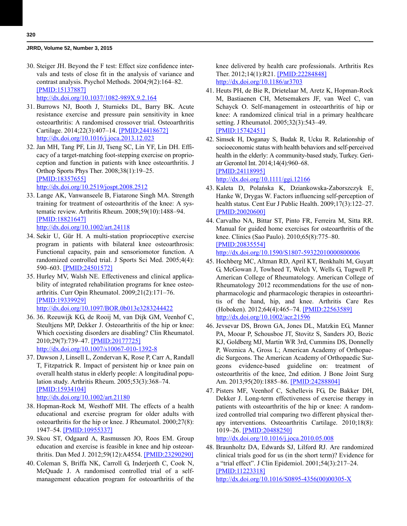30. Steiger JH. Beyond the F test: Effect size confidence intervals and tests of close fit in the analysis of variance and contrast analysis. Psychol Methods. 2004;9(2):164–82. [\[PMID:15137887\]](http://www.ncbi.nlm.nih.gov/entrez/query.fcgi?cmd=Retrieve&db=PubMed&list_uids=15137887&dopt=Abstract)

[h](http://www.ncbi.nlm.nih.gov/entrez/query.fcgi?cmd=Retrieve&db=PubMed&list_uids=15137887&dopt=Abstract)[ttp://dx.doi.org/10.1037/1082-989X.9.2.164](http://dx.doi.org/10.1037/1082-989X.9.2.164)

- 31. Burrows NJ, Booth J, Sturnieks DL, Barry BK. Acute resistance exercise and pressure pain sensitivity in knee osteoarthritis: A randomised crossover trial. Osteoarthritis Cartilage. 2014;22(3):407–14. [\[PMID:24418672\]](http://www.ncbi.nlm.nih.gov/entrez/query.fcgi?cmd=Retrieve&db=PubMed&list_uids=24418672&dopt=Abstract) [h](http://www.ncbi.nlm.nih.gov/entrez/query.fcgi?cmd=Retrieve&db=PubMed&list_uids=24418672&dopt=Abstract)[ttp://dx.doi.org/10.1016/j.joca.2013.12.023](http://dx.doi.org/10.1016/j.joca.2013.12.023)
- 32. Jan MH, Tang PF, Lin JJ, Tseng SC, Lin YF, Lin DH. Efficacy of a target-matching foot-stepping exercise on proprioception and function in patients with knee osteoarthritis. J Orthop Sports Phys Ther. 2008;38(1):19–25. [\[PMID:18357655\]](http://www.ncbi.nlm.nih.gov/entrez/query.fcgi?cmd=Retrieve&db=PubMed&list_uids=18357655&dopt=Abstract) [h](http://www.ncbi.nlm.nih.gov/entrez/query.fcgi?cmd=Retrieve&db=PubMed&list_uids=18357655&dopt=Abstract)[ttp://dx.doi.org/10.2519/jospt.2008.2512](http://dx.doi.org/10.2519/jospt.2008.2512)
- 33. Lange AK, Vanwanseele B, Fiatarone Singh MA. Strength training for treatment of osteoarthritis of the knee: A systematic review. Arthritis Rheum. 2008;59(10):1488–94. [\[PMID:18821647\]](http://www.ncbi.nlm.nih.gov/entrez/query.fcgi?cmd=Retrieve&db=PubMed&list_uids=18821647&dopt=Abstract) [h](http://www.ncbi.nlm.nih.gov/entrez/query.fcgi?cmd=Retrieve&db=PubMed&list_uids=18821647&dopt=Abstract)[ttp://dx.doi.org/10.1002/art.24118](http://dx.doi.org/10.1002/art.24118)
- 34. Sekir U, Gür H. A multi-station proprioceptive exercise program in patients with bilateral knee osteoarthrosis: Functional capacity, pain and sensoriomotor function. A randomized controlled trial. J Sports Sci Med. 2005;4(4): 590–603. [\[PMID:24501572\]](http://www.ncbi.nlm.nih.gov/entrez/query.fcgi?cmd=Retrieve&db=PubMed&list_uids=24501572&dopt=Abstract)
- 35. Hurley MV, Walsh NE. Effectiveness and clinical applicability of integrated rehabilitation programs for knee osteoarthritis. Curr Opin Rheumatol. 2009;21(2):171–76. [\[PMID:19339929\]](http://www.ncbi.nlm.nih.gov/entrez/query.fcgi?cmd=Retrieve&db=PubMed&list_uids=19339929&dopt=Abstract) [h](http://www.ncbi.nlm.nih.gov/entrez/query.fcgi?cmd=Retrieve&db=PubMed&list_uids=19339929&dopt=Abstract)[ttp://dx.doi.org/10.1097/BOR.0b013e3283244422](http://dx.doi.org/10.1097/BOR.0b013e3283244422)
- 36. 36. Reeuwijk KG, de Rooij M, van Dijk GM, Veenhof C, Steultjens MP, Dekker J. Osteoarthritis of the hip or knee: Which coexisting disorders are disabling? Clin Rheumatol. 2010;29(7):739–47. [\[PMID:20177725\]](http://www.ncbi.nlm.nih.gov/entrez/query.fcgi?cmd=Retrieve&db=PubMed&list_uids=20177725&dopt=Abstract) [h](http://www.ncbi.nlm.nih.gov/entrez/query.fcgi?cmd=Retrieve&db=PubMed&list_uids=20177725&dopt=Abstract)[ttp://dx.doi.org/10.1007/s10067-010-1392-8](http://dx.doi.org/10.1007/s10067-010-1392-8)
- 37. Dawson J, Linsell L, Zondervan K, Rose P, Carr A, Randall T, Fitzpatrick R. Impact of persistent hip or knee pain on overall health status in elderly people: A longitudinal population study. Arthritis Rheum. 2005;53(3):368–74. [\[PMID:15934104\]](http://www.ncbi.nlm.nih.gov/entrez/query.fcgi?cmd=Retrieve&db=PubMed&list_uids=15934104&dopt=Abstract) [h](http://www.ncbi.nlm.nih.gov/entrez/query.fcgi?cmd=Retrieve&db=PubMed&list_uids=15934104&dopt=Abstract)[ttp://dx.doi.org/10.1002/art.21180](http://dx.doi.org/10.1002/art.21180)
- 38. Hopman-Rock M, Westhoff MH. The effects of a health educational and exercise program for older adults with osteoarthritis for the hip or knee. J Rheumatol. 2000;27(8): 1947–54. [\[PMID:10955337\]](http://www.ncbi.nlm.nih.gov/entrez/query.fcgi?cmd=Retrieve&db=PubMed&list_uids=10955337&dopt=Abstract)
- 39. Skou ST, Odgaard A, Rasmussen JO, Roos EM. Group education and exercise is feasible in knee and hip osteoarthritis. Dan Med J. 2012;59(12):A4554. [\[PMID:23290290\]](http://www.ncbi.nlm.nih.gov/entrez/query.fcgi?cmd=Retrieve&db=PubMed&list_uids=23290290&dopt=Abstract)
- 40. Coleman S, Briffa NK, Carroll G, Inderjeeth C, Cook N, McQuade J. A randomised controlled trial of a selfmanagement education program for osteoarthritis of the

knee delivered by health care professionals. Arthritis Res Ther. 2012;14(1):R21. [\[PMID:22284848\]](http://www.ncbi.nlm.nih.gov/entrez/query.fcgi?cmd=Retrieve&db=PubMed&list_uids=22284848&dopt=Abstract) [h](http://www.ncbi.nlm.nih.gov/entrez/query.fcgi?cmd=Retrieve&db=PubMed&list_uids=22284848&dopt=Abstract)[ttp://dx.doi.org/10.1186/ar3703](http://dx.doi.org/10.1186/ar3703)

- 41. Heuts PH, de Bie R, Drietelaar M, Aretz K, Hopman-Rock M, Bastiaenen CH, Metsemakers JF, van Weel C, van Schayck O. Self-management in osteoarthritis of hip or knee: A randomized clinical trial in a primary healthcare setting. J Rheumatol. 2005;32(3):543–49. [\[PMID:15742451\]](http://www.ncbi.nlm.nih.gov/entrez/query.fcgi?cmd=Retrieve&db=PubMed&list_uids=15742451&dopt=Abstract)
- 42. Simsek H, Doganay S, Budak R, Ucku R. Relationship of socioeconomic status with health behaviors and self-perceived health in the elderly: A community-based study, Turkey. Geriatr Gerontol Int. 2014;14(4):960–68. [\[PMID:24118995\]](http://www.ncbi.nlm.nih.gov/entrez/query.fcgi?cmd=Retrieve&db=PubMed&list_uids=24118995&dopt=Abstract) [h](http://www.ncbi.nlm.nih.gov/entrez/query.fcgi?cmd=Retrieve&db=PubMed&list_uids=24118995&dopt=Abstract)[ttp://dx.doi.org/10.1111/ggi.12166](http://dx.doi.org/10.1111/ggi.12166)
- 43. Kaleta D, Polańska K, Dziankowska-Zaborszczyk E, Hanke W, Drygas W. Factors influencing self-perception of health status. Cent Eur J Public Health. 2009;17(3):122–27. [\[PMID:20020600\]](http://www.ncbi.nlm.nih.gov/entrez/query.fcgi?cmd=Retrieve&db=PubMed&list_uids=20020600&dopt=Abstract)
- 44. Carvalho NA, Bittar ST, Pinto FR, Ferreira M, Sitta RR. Manual for guided home exercises for osteoarthritis of the knee. Clinics (Sao Paulo). 2010;65(8):775–80. [\[PMID:20835554\]](http://www.ncbi.nlm.nih.gov/entrez/query.fcgi?cmd=Retrieve&db=PubMed&list_uids=20835554&dopt=Abstract)

```
http://dx.doi.org/10.1590/S1807-59322010000800006
```
- 45. Hochberg MC, Altman RD, April KT, Benkhalti M, Guyatt G, McGowan J, Towheed T, Welch V, Wells G, Tugwell P; American College of Rheumatology. American College of Rheumatology 2012 recommendations for the use of nonpharmacologic and pharmacologic therapies in osteoarthritis of the hand, hip, and knee. Arthritis Care Res (Hoboken). 2012;64(4):465–74. [\[PMID:22563589\]](http://www.ncbi.nlm.nih.gov/entrez/query.fcgi?cmd=Retrieve&db=PubMed&list_uids=22563589&dopt=Abstract) [h](http://www.ncbi.nlm.nih.gov/entrez/query.fcgi?cmd=Retrieve&db=PubMed&list_uids=22563589&dopt=Abstract)[ttp://dx.doi.org/10.1002/acr.21596](http://dx.doi.org/10.1002/acr.21596)
- 46. Jevsevar DS, Brown GA, Jones DL, Matzkin EG, Manner PA, Mooar P, Schousboe JT, Stovitz S, Sanders JO, Bozic KJ, Goldberg MJ, Martin WR 3rd, Cummins DS, Donnelly P, Woznica A, Gross L; American Academy of Orthopaedic Surgeons. The American Academy of Orthopaedic Surgeons evidence-based guideline on: treatment of osteoarthritis of the knee, 2nd edition. J Bone Joint Surg Am. 2013;95(20):1885–86. [\[PMID:24288804\]](http://www.ncbi.nlm.nih.gov/pubmed/24288804)
- 47. Pisters MF, Veenhof C, Schellevis FG, De Bakker DH, Dekker J. Long-term effectiveness of exercise therapy in patients with osteoarthritis of the hip or knee: A randomized controlled trial comparing two different physical therapy interventions. Osteoarthritis Cartilage. 2010;18(8): 1019–26. [\[PMID:20488250\]](http://www.ncbi.nlm.nih.gov/entrez/query.fcgi?cmd=Retrieve&db=PubMed&list_uids=20488250&dopt=Abstract)

[h](http://www.ncbi.nlm.nih.gov/entrez/query.fcgi?cmd=Retrieve&db=PubMed&list_uids=20488250&dopt=Abstract)[ttp://dx.doi.org/10.1016/j.joca.2010.05.008](http://dx.doi.org/10.1016/j.joca.2010.05.008)

48. Braunholtz DA, Edwards SJ, Lilford RJ. Are randomized clinical trials good for us (in the short term)? Evidence for a "trial effect". J Clin Epidemiol. 2001;54(3):217–24. [\[PMID:11223318\]](http://www.ncbi.nlm.nih.gov/entrez/query.fcgi?cmd=Retrieve&db=PubMed&list_uids=11223318&dopt=Abstract)

[h](http://www.ncbi.nlm.nih.gov/entrez/query.fcgi?cmd=Retrieve&db=PubMed&list_uids=11223318&dopt=Abstract)[ttp://dx.doi.org/10.1016/S0895-4356\(00\)00305-X](http://dx.doi.org/10.1016/S0895-4356(00)00305-X)